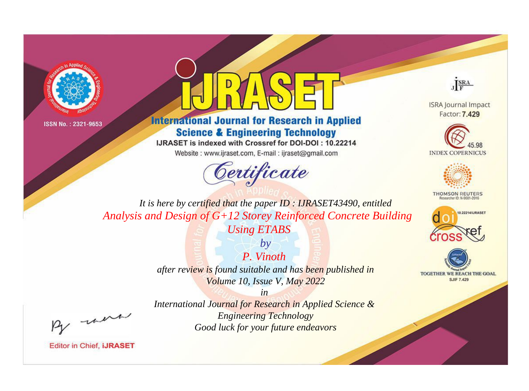



**International Journal for Research in Applied Science & Engineering Technology** 

IJRASET is indexed with Crossref for DOI-DOI: 10.22214

Website: www.ijraset.com, E-mail: ijraset@gmail.com



JERA

**ISRA Journal Impact** Factor: 7.429





**THOMSON REUTERS** 



TOGETHER WE REACH THE GOAL **SJIF 7.429** 

It is here by certified that the paper ID: IJRASET43490, entitled Analysis and Design of G+12 Storey Reinforced Concrete Building **Using ETABS** 

> $by$ P. Vinoth after review is found suitable and has been published in Volume 10, Issue V, May 2022

 $in$ International Journal for Research in Applied Science & **Engineering Technology** Good luck for your future endeavors

were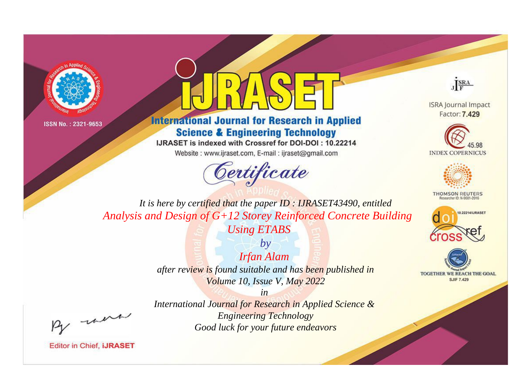



**International Journal for Research in Applied Science & Engineering Technology** 

IJRASET is indexed with Crossref for DOI-DOI: 10.22214

Website: www.ijraset.com, E-mail: ijraset@gmail.com



JERA

**ISRA Journal Impact** Factor: 7.429





**THOMSON REUTERS** 



TOGETHER WE REACH THE GOAL **SJIF 7.429** 

*It is here by certified that the paper ID : IJRASET43490, entitled Analysis and Design of G+12 Storey Reinforced Concrete Building* 

*Using ETABS by*

*Irfan Alam after review is found suitable and has been published in Volume 10, Issue V, May 2022*

*in* 

, un

*International Journal for Research in Applied Science & Engineering Technology Good luck for your future endeavors*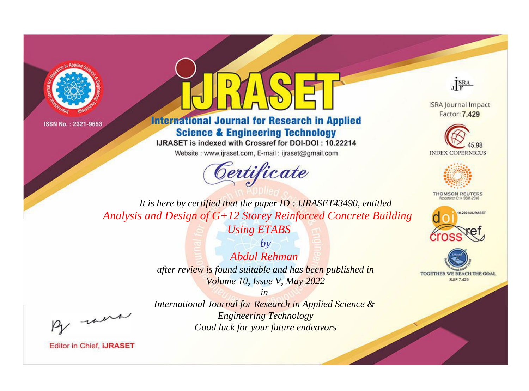



**International Journal for Research in Applied Science & Engineering Technology** 

IJRASET is indexed with Crossref for DOI-DOI: 10.22214

Website: www.ijraset.com, E-mail: ijraset@gmail.com



JERA

**ISRA Journal Impact** Factor: 7.429





**THOMSON REUTERS** 



TOGETHER WE REACH THE GOAL **SJIF 7.429** 

It is here by certified that the paper ID: IJRASET43490, entitled Analysis and Design of G+12 Storey Reinforced Concrete Building **Using ETABS** 

> $b\nu$ Abdul Rehman after review is found suitable and has been published in Volume 10, Issue V, May 2022

were

International Journal for Research in Applied Science & **Engineering Technology** Good luck for your future endeavors

 $in$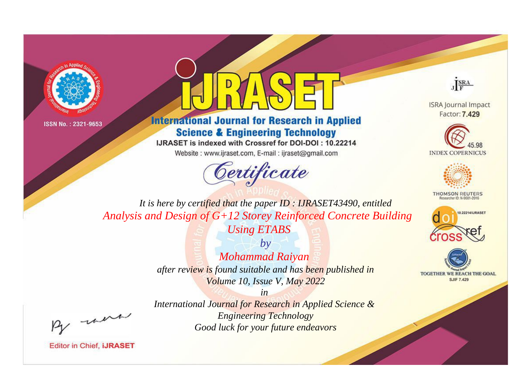



**International Journal for Research in Applied Science & Engineering Technology** 

IJRASET is indexed with Crossref for DOI-DOI: 10.22214

Website: www.ijraset.com, E-mail: ijraset@gmail.com





**ISRA Journal Impact** Factor: 7.429





**THOMSON REUTERS** 



TOGETHER WE REACH THE GOAL **SJIF 7.429** 

*It is here by certified that the paper ID : IJRASET43490, entitled Analysis and Design of G+12 Storey Reinforced Concrete Building* 

*Using ETABS by Mohammad Raiyan* 

*after review is found suitable and has been published in Volume 10, Issue V, May 2022*

*in* 

, were

*International Journal for Research in Applied Science & Engineering Technology Good luck for your future endeavors*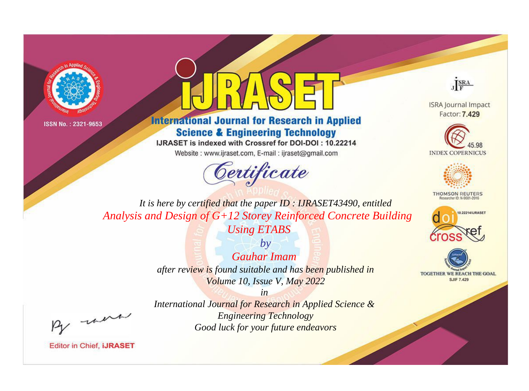



**International Journal for Research in Applied Science & Engineering Technology** 

IJRASET is indexed with Crossref for DOI-DOI: 10.22214

Website: www.ijraset.com, E-mail: ijraset@gmail.com



JERA

**ISRA Journal Impact** Factor: 7.429





**THOMSON REUTERS** 



TOGETHER WE REACH THE GOAL **SJIF 7.429** 

It is here by certified that the paper ID: IJRASET43490, entitled Analysis and Design of G+12 Storey Reinforced Concrete Building **Using ETABS** 

> $b\nu$ **Gauhar Imam** after review is found suitable and has been published in Volume 10, Issue V, May 2022

were

International Journal for Research in Applied Science & **Engineering Technology** Good luck for your future endeavors

 $in$